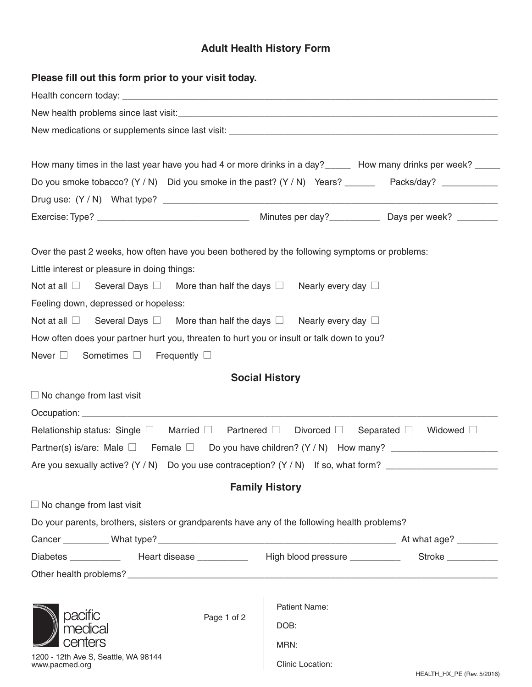## **Adult Health History Form**

| Please fill out this form prior to your visit today.                                                                                 |                         |                     |  |  |  |
|--------------------------------------------------------------------------------------------------------------------------------------|-------------------------|---------------------|--|--|--|
|                                                                                                                                      |                         |                     |  |  |  |
|                                                                                                                                      |                         |                     |  |  |  |
|                                                                                                                                      |                         |                     |  |  |  |
| Do you smoke tobacco? (Y / N) Did you smoke in the past? (Y / N) Years? ________ Packs/day? ____________                             |                         |                     |  |  |  |
|                                                                                                                                      |                         |                     |  |  |  |
|                                                                                                                                      |                         |                     |  |  |  |
| Over the past 2 weeks, how often have you been bothered by the following symptoms or problems:                                       |                         |                     |  |  |  |
| Little interest or pleasure in doing things:                                                                                         |                         |                     |  |  |  |
| Not at all $\Box$ Several Days $\Box$ More than half the days $\Box$ Nearly every day $\Box$                                         |                         |                     |  |  |  |
| Feeling down, depressed or hopeless:                                                                                                 |                         |                     |  |  |  |
| Not at all $\Box$ Several Days $\Box$ More than half the days $\Box$ Nearly every day $\Box$                                         |                         |                     |  |  |  |
| How often does your partner hurt you, threaten to hurt you or insult or talk down to you?                                            |                         |                     |  |  |  |
| Sometimes <b>D</b> Frequently D<br>Never $\square$                                                                                   |                         |                     |  |  |  |
| <b>Social History</b>                                                                                                                |                         |                     |  |  |  |
| $\Box$ No change from last visit                                                                                                     |                         |                     |  |  |  |
|                                                                                                                                      |                         |                     |  |  |  |
| Relationship status: Single $\square$ Married $\square$ Partnered $\square$ Divorced $\square$ Separated $\square$ Widowed $\square$ |                         |                     |  |  |  |
| Partner(s) is/are: Male $\square$ Female $\square$ Do you have children? (Y / N) How many?                                           |                         |                     |  |  |  |
| Are you sexually active? (Y / N) Do you use contraception? (Y / N) If so, what form?                                                 |                         |                     |  |  |  |
| <b>Family History</b>                                                                                                                |                         |                     |  |  |  |
| $\Box$ No change from last visit                                                                                                     |                         |                     |  |  |  |
| Do your parents, brothers, sisters or grandparents have any of the following health problems?                                        |                         |                     |  |  |  |
|                                                                                                                                      |                         |                     |  |  |  |
| Diabetes _____________  Heart disease ____________  High blood pressure _________                                                    |                         | Stroke ____________ |  |  |  |
|                                                                                                                                      |                         |                     |  |  |  |
| pacific<br>Page 1 of 2<br>medi                                                                                                       | Patient Name:           |                     |  |  |  |
|                                                                                                                                      | DOB:                    |                     |  |  |  |
|                                                                                                                                      | MRN:                    |                     |  |  |  |
| 1200 - 12th Ave S, Seattle, WA 98144<br>www.pacmed.org                                                                               | <b>Clinic Location:</b> |                     |  |  |  |